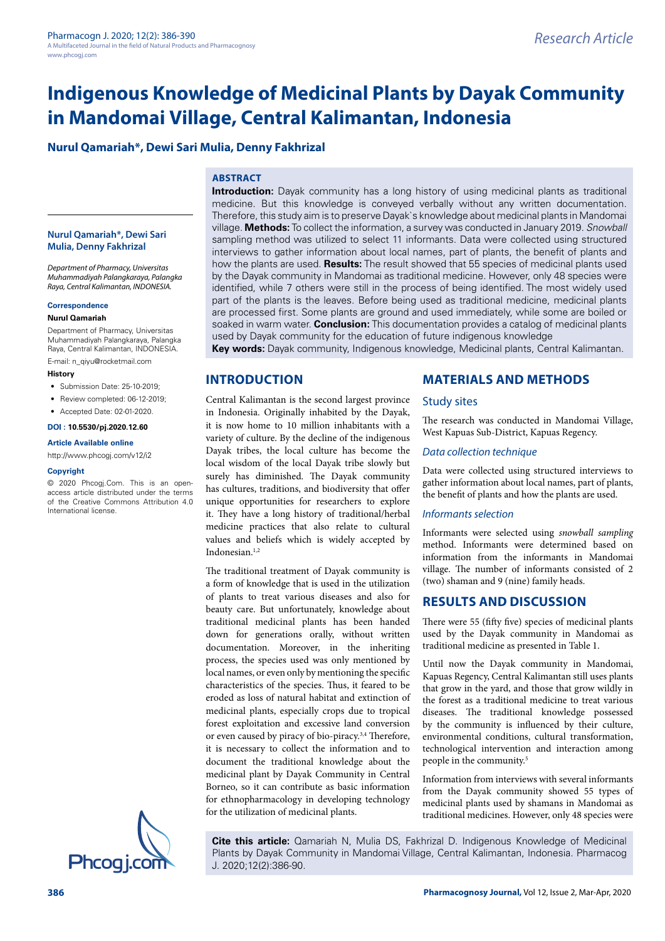# **Indigenous Knowledge of Medicinal Plants by Dayak Community in Mandomai Village, Central Kalimantan, Indonesia**

## **Nurul Qamariah\*, Dewi Sari Mulia, Denny Fakhrizal**

### **ABSTRACT**

#### **Nurul Qamariah\*, Dewi Sari Mulia, Denny Fakhrizal**

*Department of Pharmacy, Universitas Muhammadiyah Palangkaraya, Palangka Raya, Central Kalimantan, INDONESIA.*

#### **Correspondence**

#### **Nurul Qamariah**

Department of Pharmacy, Universitas Muhammadiyah Palangkaraya, Palangka Raya, Central Kalimantan, INDONESIA.

E-mail: [n\\_qiyu@rocketmail.com](mailto:n_qiyu@rocketmail.com)

### **History**

- Submission Date: 25-10-2019;
- Review completed: 06-12-2019:
- Accepted Date: 02-01-2020.

#### **DOI : 10.5530/pj.2020.12.60**

#### **Article Available online**

<http://www.phcogj.com/v12/i2>

#### **Copyright**

© 2020 Phcogj.Com. This is an openaccess article distributed under the terms of the Creative Commons Attribution 4.0 International license.



### **INTRODUCTION**

### Central Kalimantan is the second largest province in Indonesia. Originally inhabited by the Dayak, it is now home to 10 million inhabitants with a variety of culture. By the decline of the indigenous Dayak tribes, the local culture has become the local wisdom of the local Dayak tribe slowly but surely has diminished. The Dayak community has cultures, traditions, and biodiversity that offer unique opportunities for researchers to explore it. They have a long history of traditional/herbal medicine practices that also relate to cultural values and beliefs which is widely accepted by Indonesian.1,2

The traditional treatment of Dayak community is a form of knowledge that is used in the utilization of plants to treat various diseases and also for beauty care. But unfortunately, knowledge about traditional medicinal plants has been handed down for generations orally, without written documentation. Moreover, in the inheriting process, the species used was only mentioned by local names, or even only by mentioning the specific characteristics of the species. Thus, it feared to be eroded as loss of natural habitat and extinction of medicinal plants, especially crops due to tropical forest exploitation and excessive land conversion or even caused by piracy of bio-piracy.<sup>3,4</sup> Therefore, it is necessary to collect the information and to document the traditional knowledge about the medicinal plant by Dayak Community in Central Borneo, so it can contribute as basic information for ethnopharmacology in developing technology for the utilization of medicinal plants.

### **MATERIALS AND METHODS**

#### Study sites

The research was conducted in Mandomai Village, West Kapuas Sub-District, Kapuas Regency.

#### *Data collection technique*

Data were collected using structured interviews to gather information about local names, part of plants, the benefit of plants and how the plants are used.

#### *Informants selection*

Informants were selected using *snowball sampling* method. Informants were determined based on information from the informants in Mandomai village. The number of informants consisted of 2 (two) shaman and 9 (nine) family heads.

### **RESULTS AND DISCUSSION**

There were 55 (fifty five) species of medicinal plants used by the Dayak community in Mandomai as traditional medicine as presented in Table 1.

Until now the Dayak community in Mandomai, Kapuas Regency, Central Kalimantan still uses plants that grow in the yard, and those that grow wildly in the forest as a traditional medicine to treat various diseases. The traditional knowledge possessed by the community is influenced by their culture, environmental conditions, cultural transformation, technological intervention and interaction among people in the community.5

Information from interviews with several informants from the Dayak community showed 55 types of medicinal plants used by shamans in Mandomai as traditional medicines. However, only 48 species were

**Cite this article:** Qamariah N, Mulia DS, Fakhrizal D. Indigenous Knowledge of Medicinal Plants by Dayak Community in Mandomai Village, Central Kalimantan, Indonesia. Pharmacog J. 2020;12(2):386-90.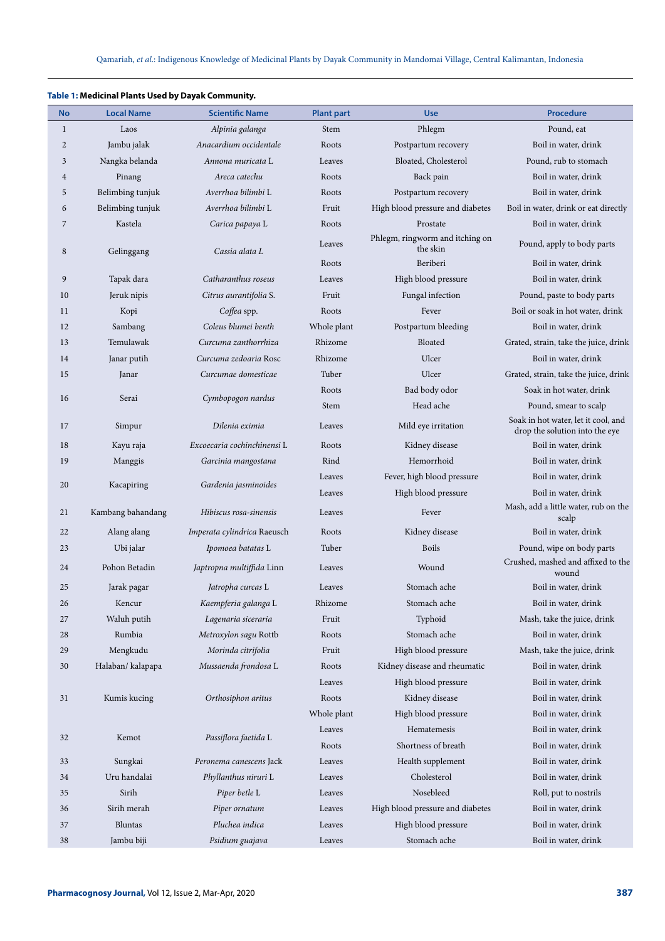| <b>No</b>      | <b>Local Name</b> | <b>Scientific Name</b>             | <b>Plant part</b> | <b>Use</b>                                  | <b>Procedure</b>                                                      |
|----------------|-------------------|------------------------------------|-------------------|---------------------------------------------|-----------------------------------------------------------------------|
| $\mathbf{1}$   | Laos              | Alpinia galanga                    | Stem              | Phlegm                                      | Pound, eat                                                            |
| $\overline{2}$ | Jambu jalak       | Anacardium occidentale             | Roots             | Postpartum recovery                         | Boil in water, drink                                                  |
| 3              | Nangka belanda    | Annona muricata L                  | Leaves            | Bloated, Cholesterol                        | Pound, rub to stomach                                                 |
| $\overline{4}$ | Pinang            | Areca catechu                      | Roots             | Back pain                                   | Boil in water, drink                                                  |
| 5              | Belimbing tunjuk  | Averrhoa bilimbi L                 | Roots             | Postpartum recovery                         | Boil in water, drink                                                  |
| 6              | Belimbing tunjuk  | Averrhoa bilimbi L                 | Fruit             | High blood pressure and diabetes            | Boil in water, drink or eat directly                                  |
| 7              | Kastela           | Carica papaya L                    | Roots             | Prostate                                    | Boil in water, drink                                                  |
| 8              | Gelinggang        | Cassia alata L                     | Leaves            | Phlegm, ringworm and itching on<br>the skin | Pound, apply to body parts                                            |
|                |                   |                                    | Roots             | Beriberi                                    | Boil in water, drink                                                  |
| 9              | Tapak dara        | Catharanthus roseus                | Leaves            | High blood pressure                         | Boil in water, drink                                                  |
| 10             | Jeruk nipis       | Citrus aurantifolia S.             | Fruit             | Fungal infection                            | Pound, paste to body parts                                            |
| 11             | Kopi              | Coffea spp.                        | Roots             | Fever                                       | Boil or soak in hot water, drink                                      |
| 12             | Sambang           | Coleus blumei benth                | Whole plant       | Postpartum bleeding                         | Boil in water, drink                                                  |
| 13             | Temulawak         | Curcuma zanthorrhiza               | Rhizome           | Bloated                                     | Grated, strain, take the juice, drink                                 |
| 14             | Janar putih       | Curcuma zedoaria Rosc              | Rhizome           | Ulcer                                       | Boil in water, drink                                                  |
| 15             | Janar             | Curcumae domesticae                | Tuber             | Ulcer                                       | Grated, strain, take the juice, drink                                 |
| 16             | Serai             | Cymbopogon nardus                  | Roots             | Bad body odor                               | Soak in hot water, drink                                              |
|                |                   |                                    | Stem              | Head ache                                   | Pound, smear to scalp                                                 |
| 17             | Simpur            | Dilenia eximia                     | Leaves            | Mild eye irritation                         | Soak in hot water, let it cool, and<br>drop the solution into the eye |
| 18             | Kayu raja         | Excoecaria cochinchinensi L        | Roots             | Kidney disease                              | Boil in water, drink                                                  |
| 19             | Manggis           | Garcinia mangostana                | Rind              | Hemorrhoid                                  | Boil in water, drink                                                  |
| 20             | Kacapiring        | Gardenia jasminoides               | Leaves            | Fever, high blood pressure                  | Boil in water, drink                                                  |
|                |                   |                                    | Leaves            | High blood pressure                         | Boil in water, drink                                                  |
| 21             | Kambang bahandang | Hibiscus rosa-sinensis             | Leaves            | Fever                                       | Mash, add a little water, rub on the<br>scalp                         |
| 22             | Alang alang       | <i>Imperata cylindrica</i> Raeusch | Roots             | Kidney disease                              | Boil in water, drink                                                  |
| 23             | Ubi jalar         | Ipomoea batatas L                  | Tuber             | <b>Boils</b>                                | Pound, wipe on body parts                                             |
| 24             | Pohon Betadin     | Japtropna multiffida Linn          | Leaves            | Wound                                       | Crushed, mashed and affixed to the<br>wound                           |
| 25             | Jarak pagar       | Jatropha curcas L                  | Leaves            | Stomach ache                                | Boil in water, drink                                                  |
| 26             | Kencur            | Kaempferia galanga L               | Rhizome           | Stomach ache                                | Boil in water, drink                                                  |
| 27             | Waluh putih       | Lagenaria siceraria                | Fruit             | Typhoid                                     | Mash, take the juice, drink                                           |
| 28             | Rumbia            | Metroxylon sagu Rottb              | Roots             | Stomach ache                                | Boil in water, drink                                                  |
| 29             | Mengkudu          | Morinda citrifolia                 | Fruit             | High blood pressure                         | Mash, take the juice, drink                                           |
| 30             | Halaban/ kalapapa | Mussaenda frondosa L               | Roots             | Kidney disease and rheumatic                | Boil in water, drink                                                  |
|                |                   |                                    | Leaves            | High blood pressure                         | Boil in water, drink                                                  |
| 31             | Kumis kucing      | Orthosiphon aritus                 | Roots             | Kidney disease                              | Boil in water, drink                                                  |
|                |                   |                                    | Whole plant       | High blood pressure                         | Boil in water, drink                                                  |
|                | Kemot             | Passiflora faetida L               | Leaves            | Hematemesis                                 | Boil in water, drink                                                  |
| 32             |                   |                                    | Roots             | Shortness of breath                         | Boil in water, drink                                                  |
| 33             | Sungkai           | Peronema canescens Jack            | Leaves            | Health supplement                           | Boil in water, drink                                                  |
| 34             | Uru handalai      | Phyllanthus niruri L               | Leaves            | Cholesterol                                 | Boil in water, drink                                                  |
| 35             | Sirih             | Piper betle L                      | Leaves            | Nosebleed                                   | Roll, put to nostrils                                                 |
| 36             | Sirih merah       | Piper ornatum                      | Leaves            | High blood pressure and diabetes            | Boil in water, drink                                                  |
| 37             | <b>Bluntas</b>    | Pluchea indica                     | Leaves            | High blood pressure                         | Boil in water, drink                                                  |
| 38             | Jambu biji        | Psidium guajava                    | Leaves            | Stomach ache                                | Boil in water, drink                                                  |

### **Table 1: Medicinal Plants Used by Dayak Community.**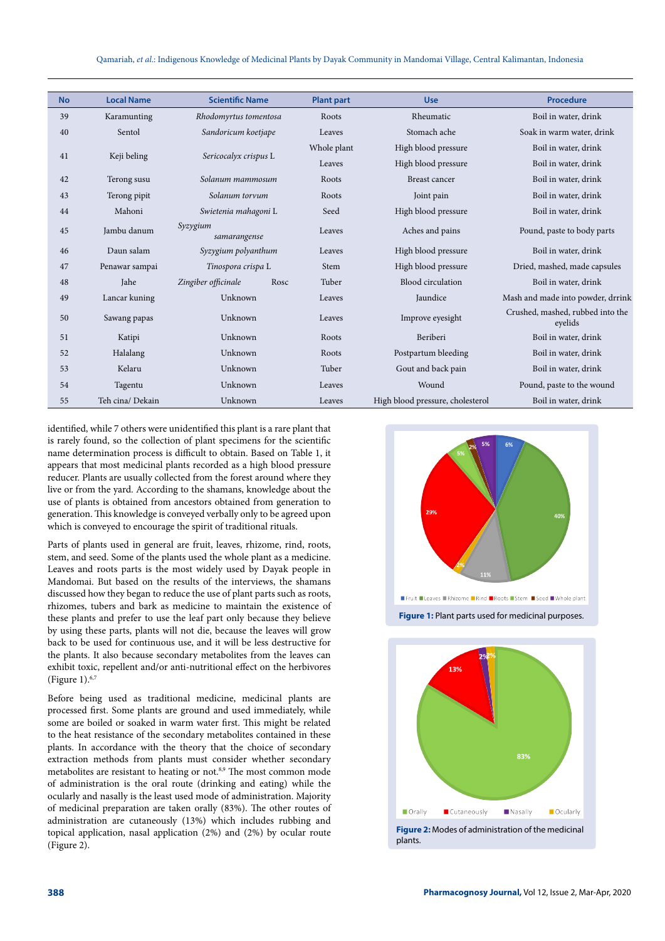Qamariah, *et al*.: Indigenous Knowledge of Medicinal Plants by Dayak Community in Mandomai Village, Central Kalimantan, Indonesia

| <b>No</b> | <b>Local Name</b> | <b>Scientific Name</b>      | <b>Plant part</b> | <b>Use</b>                       | <b>Procedure</b>                            |
|-----------|-------------------|-----------------------------|-------------------|----------------------------------|---------------------------------------------|
| 39        | Karamunting       | Rhodomyrtus tomentosa       | Roots             | Rheumatic                        | Boil in water, drink                        |
| 40        | Sentol            | Sandoricum koetjape         | Leaves            | Stomach ache                     | Soak in warm water, drink                   |
| 41        | Keji beling       | Sericocalyx crispus L       | Whole plant       | High blood pressure              | Boil in water, drink                        |
|           |                   |                             | Leaves            | High blood pressure              | Boil in water, drink                        |
| 42        | Terong susu       | Solanum mammosum            | Roots             | Breast cancer                    | Boil in water, drink                        |
| 43        | Terong pipit      | Solanum torvum              | Roots             | Joint pain                       | Boil in water, drink                        |
| 44        | Mahoni            | Swietenia mahagoni L        | Seed              | High blood pressure              | Boil in water, drink                        |
| 45        | Jambu danum       | Syzygium<br>samarangense    | Leaves            | Aches and pains                  | Pound, paste to body parts                  |
| 46        | Daun salam        | Syzygium polyanthum         | Leaves            | High blood pressure              | Boil in water, drink                        |
| 47        | Penawar sampai    | Tinospora crispa L          | Stem              | High blood pressure              | Dried, mashed, made capsules                |
| 48        | <b>Jahe</b>       | Zingiber officinale<br>Rosc | Tuber             | Blood circulation                | Boil in water, drink                        |
| 49        | Lancar kuning     | Unknown                     | Leaves            | Jaundice                         | Mash and made into powder, drrink           |
| 50        | Sawang papas      | Unknown                     | Leaves            | Improve eyesight                 | Crushed, mashed, rubbed into the<br>eyelids |
| 51        | Katipi            | Unknown                     | Roots             | Beriberi                         | Boil in water, drink                        |
| 52        | Halalang          | Unknown                     | Roots             | Postpartum bleeding              | Boil in water, drink                        |
| 53        | Kelaru            | Unknown                     | Tuber             | Gout and back pain               | Boil in water, drink                        |
| 54        | Tagentu           | Unknown                     | Leaves            | Wound                            | Pound, paste to the wound                   |
| 55        | Teh cina/ Dekain  | Unknown                     | Leaves            | High blood pressure, cholesterol | Boil in water, drink                        |

identified, while 7 others were unidentified this plant is a rare plant that is rarely found, so the collection of plant specimens for the scientific name determination process is difficult to obtain. Based on Table 1, it appears that most medicinal plants recorded as a high blood pressure reducer. Plants are usually collected from the forest around where they live or from the yard. According to the shamans, knowledge about the use of plants is obtained from ancestors obtained from generation to generation. This knowledge is conveyed verbally only to be agreed upon which is conveyed to encourage the spirit of traditional rituals.

Parts of plants used in general are fruit, leaves, rhizome, rind, roots, stem, and seed. Some of the plants used the whole plant as a medicine. Leaves and roots parts is the most widely used by Dayak people in Mandomai. But based on the results of the interviews, the shamans discussed how they began to reduce the use of plant parts such as roots, rhizomes, tubers and bark as medicine to maintain the existence of these plants and prefer to use the leaf part only because they believe by using these parts, plants will not die, because the leaves will grow back to be used for continuous use, and it will be less destructive for the plants. It also because secondary metabolites from the leaves can exhibit toxic, repellent and/or anti-nutritional effect on the herbivores (Figure 1).6,7

Before being used as traditional medicine, medicinal plants are processed first. Some plants are ground and used immediately, while some are boiled or soaked in warm water first. This might be related to the heat resistance of the secondary metabolites contained in these plants. In accordance with the theory that the choice of secondary extraction methods from plants must consider whether secondary metabolites are resistant to heating or not.<sup>8,9</sup> The most common mode of administration is the oral route (drinking and eating) while the ocularly and nasally is the least used mode of administration. Majority of medicinal preparation are taken orally (83%). The other routes of administration are cutaneously (13%) which includes rubbing and topical application, nasal application (2%) and (2%) by ocular route (Figure 2).



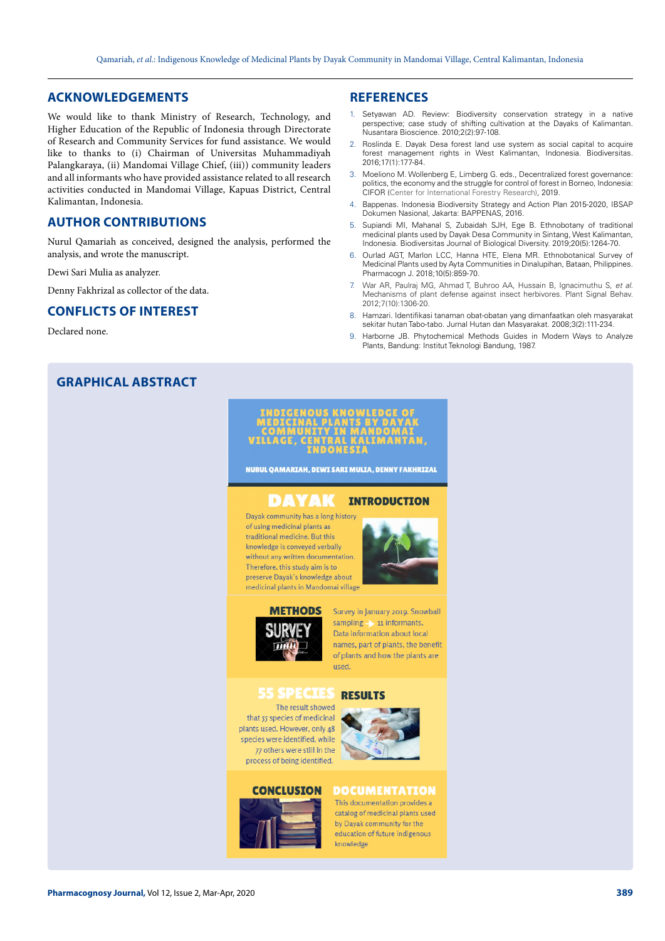### **ACKNOWLEDGEMENTS**

We would like to thank Ministry of Research, Technology, and Higher Education of the Republic of Indonesia through Directorate of Research and Community Services for fund assistance. We would like to thanks to (i) Chairman of Universitas Muhammadiyah Palangkaraya, (ii) Mandomai Village Chief, (iii)) community leaders and all informants who have provided assistance related to all research activities conducted in Mandomai Village, Kapuas District, Central Kalimantan, Indonesia.

### **AUTHOR CONTRIBUTIONS**

Nurul Qamariah as conceived, designed the analysis, performed the analysis, and wrote the manuscript.

Dewi Sari Mulia as analyzer.

Denny Fakhrizal as collector of the data.

### **CONFLICTS OF INTEREST**

Declared none.

### **GRAPHICAL ABSTRACT**

### **REFERENCES**

- 1. Setyawan AD. Review: Biodiversity conservation strategy in a native perspective; case study of shifting cultivation at the Dayaks of Kalimantan. Nusantara Bioscience. 2010;2(2):97-108.
- 2. Roslinda E. Dayak Desa forest land use system as social capital to acquire forest management rights in West Kalimantan, Indonesia. Biodiversitas*.* 2016;17(1):177-84.
- 3. Moeliono M. Wollenberg E, Limberg G. eds., Decentralized forest governance: politics, the economy and the struggle for control of forest in Borneo, Indonesia: CIFOR (Center for International Forestry Research), 2019.
- 4. Bappenas. Indonesia Biodiversity Strategy and Action Plan 2015-2020, IBSAP Dokumen Nasional, Jakarta: BAPPENAS, 2016.
- 5. Supiandi MI, Mahanal S, Zubaidah SJH, Ege B. Ethnobotany of traditional medicinal plants used by Dayak Desa Community in Sintang, West Kalimantan, Indonesia. Biodiversitas Journal of Biological Diversity. 2019;20(5):1264-70.
- 6. Ourlad AGT, Marlon LCC, Hanna HTE, Elena MR. Ethnobotanical Survey of Medicinal Plants used by Ayta Communities in Dinalupihan, Bataan, Philippines. Pharmacogn J. 2018;10(5):859-70.
- 7. War AR, Paulraj MG, Ahmad T, Buhroo AA, Hussain B, Ignacimuthu S, *et al*. Mechanisms of plant defense against insect herbivores. Plant Signal Behav. 2012;7(10):1306-20.
- 8. Hamzari. Identifikasi tanaman obat-obatan yang dimanfaatkan oleh masyarakat sekitar hutan Tabo-tabo. Jurnal Hutan dan Masyarakat*.* 2008;3(2):111-234.
- 9. Harborne JB. Phytochemical Methods Guides in Modern Ways to Analyze Plants, Bandung: Institut Teknologi Bandung, 1987.



NURUL QAMARIAH, DEWI SARI MULIA, DENNY FAKHRIZAL

#### DAYAK **INTRODUCTION**

Dayak community has a long history of using medicinal plants as traditional medicine. But this knowledge is conveyed verbally without any written documentation Therefore, this study aim is to preserve Dayak's knowledge about medicinal plants in Mandomai village





Survey in January 2019. Snowball sampling - 11 informants. Data information about local names, part of plants, the benefit of plants and how the plants are hezir

#### 55 SPECIES **DESIII1**

The result showed that 55 species of medicinal plants used. However, only 48 species were identified, while 77 others were still in the process of being identified.

**CONCLUSION** 



### **DOCUMENTATION**

This documentation provides a catalog of medicinal plants used by Davak community for the education of future indigenous knowledge